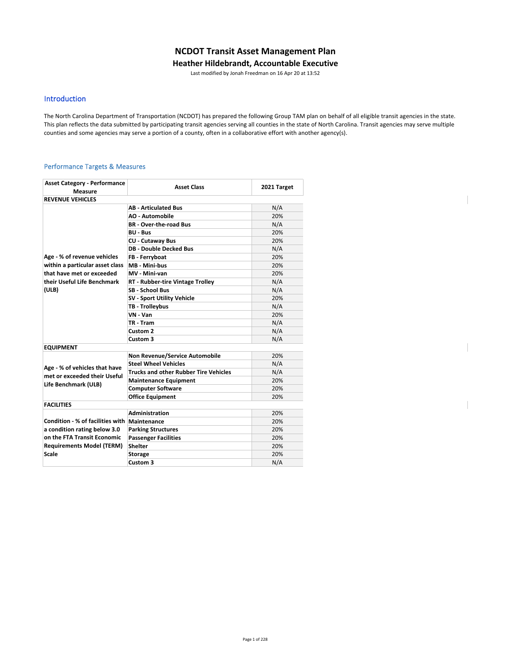# **NCDOT Transit Asset Management Plan**

#### **Heather Hildebrandt, Accountable Executive**

Last modified by Jonah Freedman on 16 Apr 20 at 13:52

### Introduction

The North Carolina Department of Transportation (NCDOT) has prepared the following Group TAM plan on behalf of all eligible transit agencies in the state. This plan reflects the data submitted by participating transit agencies serving all counties in the state of North Carolina. Transit agencies may serve multiple counties and some agencies may serve a portion of a county, often in a collaborative effort with another agency(s).

#### Performance Targets & Measures

| <b>Asset Category - Performance</b><br>Measure | <b>Asset Class</b>                           | 2021 Target |
|------------------------------------------------|----------------------------------------------|-------------|
| <b>REVENUE VEHICLES</b>                        |                                              |             |
|                                                | <b>AB - Articulated Bus</b>                  | N/A         |
|                                                | <b>AO - Automobile</b>                       | 20%         |
|                                                | <b>BR</b> - Over-the-road Bus                | N/A         |
|                                                | <b>BU - Bus</b>                              | 20%         |
|                                                | <b>CU - Cutaway Bus</b>                      | 20%         |
|                                                | <b>DB - Double Decked Bus</b>                | N/A         |
| Age - % of revenue vehicles                    | FB - Ferryboat                               | 20%         |
| within a particular asset class                | MB - Mini-bus                                | 20%         |
| that have met or exceeded                      | MV - Mini-van                                | 20%         |
| their Useful Life Benchmark                    | RT - Rubber-tire Vintage Trolley             | N/A         |
| (ULB)                                          | <b>SB - School Bus</b>                       | N/A         |
|                                                | <b>SV - Sport Utility Vehicle</b>            | 20%         |
|                                                | TB - Trolleybus                              | N/A         |
|                                                | VN - Van                                     | 20%         |
|                                                | TR - Tram                                    | N/A         |
|                                                | Custom <sub>2</sub>                          | N/A         |
|                                                | Custom 3                                     | N/A         |
| <b>EQUIPMENT</b>                               |                                              |             |
|                                                | <b>Non Revenue/Service Automobile</b>        | 20%         |
| Age - % of vehicles that have                  | <b>Steel Wheel Vehicles</b>                  | N/A         |
| met or exceeded their Useful                   | <b>Trucks and other Rubber Tire Vehicles</b> | N/A         |
| Life Benchmark (ULB)                           | <b>Maintenance Equipment</b>                 | 20%         |
|                                                | <b>Computer Software</b>                     | 20%         |
|                                                | <b>Office Equipment</b>                      | 20%         |
| <b>FACILITIES</b>                              |                                              |             |
|                                                | Administration                               | 20%         |
| Condition - % of facilities with               | Maintenance                                  | 20%         |
| a condition rating below 3.0                   | <b>Parking Structures</b>                    | 20%         |
| on the FTA Transit Economic                    | <b>Passenger Facilities</b>                  | 20%         |
| <b>Requirements Model (TERM)</b>               | <b>Shelter</b>                               | 20%         |
| <b>Scale</b>                                   | <b>Storage</b>                               | 20%         |
|                                                | Custom 3                                     | N/A         |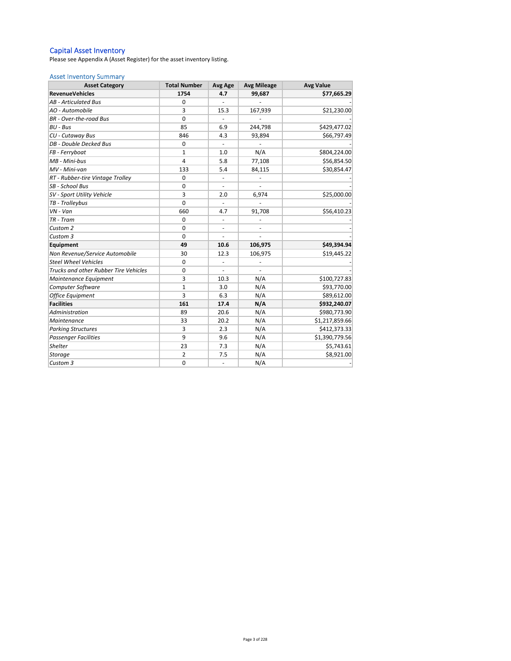#### Capital Asset Inventory

Please see Appendix A (Asset Register) for the asset inventory listing.

#### Asset Inventory Summary

| <b>Asset Category</b>                        | <b>Total Number</b> | Avg Age                  | <b>Avg Mileage</b>       | <b>Avg Value</b> |  |
|----------------------------------------------|---------------------|--------------------------|--------------------------|------------------|--|
| <b>RevenueVehicles</b>                       | 1754                | 4.7                      | 99,687                   | \$77,665.29      |  |
| <b>AB</b> - Articulated Bus                  | 0                   |                          |                          |                  |  |
| AO - Automobile                              | 3                   | 15.3                     | 167,939                  | \$21,230.00      |  |
| <b>BR</b> - Over-the-road Bus                | $\mathbf 0$         |                          |                          |                  |  |
| BU - Bus                                     | 85                  | 6.9                      | 244,798                  | \$429,477.02     |  |
| CU - Cutaway Bus                             | 846                 | 4.3                      | 93,894                   | \$66,797.49      |  |
| DB - Double Decked Bus                       | $\mathbf 0$         |                          |                          |                  |  |
| FB - Ferryboat                               | $\mathbf{1}$        | 1.0                      | N/A                      | \$804,224.00     |  |
| MB - Mini-bus                                | 4                   | 5.8                      | 77,108                   | \$56,854.50      |  |
| MV - Mini-van                                | 133                 | 5.4                      | 84,115                   | \$30,854.47      |  |
| RT - Rubber-tire Vintage Trolley             | $\mathbf 0$         | $\overline{\phantom{a}}$ |                          |                  |  |
| SB - School Bus                              | $\mathbf 0$         |                          |                          |                  |  |
| SV - Sport Utility Vehicle                   | 3                   | 2.0                      | 6,974                    | \$25,000.00      |  |
| TB - Trolleybus                              | $\mathbf 0$         |                          |                          |                  |  |
| $VN - Van$                                   | 660                 | 4.7                      | 91,708                   | \$56,410.23      |  |
| TR - Tram                                    | $\mathbf 0$         | $\blacksquare$           |                          |                  |  |
| Custom 2                                     | $\mathbf 0$         | ä,                       |                          |                  |  |
| Custom 3                                     | $\Omega$            |                          |                          |                  |  |
| Equipment                                    | 49                  | 10.6                     | 106,975                  | \$49,394.94      |  |
| Non Revenue/Service Automobile               | 30                  | 12.3                     | 106,975                  | \$19,445.22      |  |
| <b>Steel Wheel Vehicles</b>                  | $\mathbf 0$         | $\blacksquare$           | ÷,                       |                  |  |
| <b>Trucks and other Rubber Tire Vehicles</b> | 0                   | $\overline{\phantom{a}}$ | $\overline{\phantom{a}}$ |                  |  |
| Maintenance Equipment                        | 3                   | 10.3                     | N/A                      | \$100,727.83     |  |
| Computer Software                            | $\mathbf{1}$        | 3.0                      | N/A                      | \$93,770.00      |  |
| <b>Office Equipment</b>                      | 3                   | 6.3                      | N/A                      | \$89,612.00      |  |
| <b>Facilities</b>                            | 161                 | 17.4                     | N/A                      | \$932,240.07     |  |
| Administration                               | 89                  | 20.6                     | N/A                      | \$980,773.90     |  |
| Maintenance                                  | 33                  | 20.2                     | N/A                      | \$1,217,859.66   |  |
| <b>Parking Structures</b>                    | 3                   | 2.3                      | N/A                      | \$412,373.33     |  |
| <b>Passenger Facilities</b>                  | 9                   | 9.6                      | N/A                      | \$1,390,779.56   |  |
| <b>Shelter</b>                               | 23                  | 7.3                      | N/A                      | \$5,743.61       |  |
| Storage                                      | $\overline{2}$      | 7.5                      | N/A                      | \$8,921.00       |  |
| Custom 3                                     | $\mathbf 0$         | $\overline{\phantom{a}}$ | N/A                      |                  |  |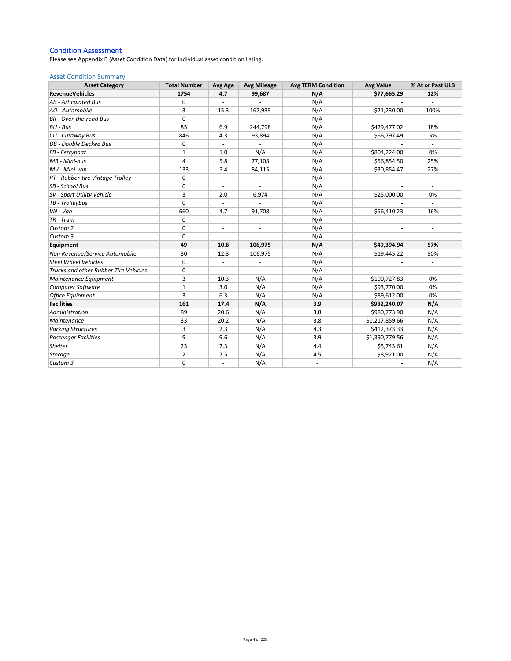### Condition Assessment

Please see Appendix B (Asset Condition Data) for individual asset condition listing.

#### Asset Condition Summary

| <b>Asset Category</b>                        | <b>Total Number</b> | Avg Age                  | <b>Avg Mileage</b>       | <b>Avg TERM Condition</b> | <b>Avg Value</b> | % At or Past ULB |
|----------------------------------------------|---------------------|--------------------------|--------------------------|---------------------------|------------------|------------------|
| <b>RevenueVehicles</b>                       | 1754                | 4.7                      | 99,687                   | N/A                       | \$77,665.29      | 12%              |
| <b>AB</b> - Articulated Bus                  | $\Omega$            | $\sim$                   |                          | N/A                       |                  |                  |
| AO - Automobile                              | 3                   | 15.3                     | 167,939                  | N/A                       | \$21,230.00      | 100%             |
| <b>BR</b> - Over-the-road Bus                | 0                   |                          |                          | N/A                       |                  |                  |
| <b>BU - Bus</b>                              | 85                  | 6.9                      | 244,798                  | N/A                       | \$429,477.02     | 18%              |
| CU - Cutaway Bus                             | 846                 | 4.3                      | 93,894                   | N/A                       | \$66,797.49      | 5%               |
| DB - Double Decked Bus                       | 0                   | $\overline{\phantom{a}}$ |                          | N/A                       |                  | ÷                |
| FB - Ferryboat                               | 1                   | 1.0                      | N/A                      | N/A                       | \$804,224.00     | 0%               |
| MB - Mini-bus                                | 4                   | 5.8                      | 77,108                   | N/A                       | \$56,854.50      | 25%              |
| MV - Mini-van                                | 133                 | 5.4                      | 84,115                   | N/A                       | \$30,854.47      | 27%              |
| RT - Rubber-tire Vintage Trolley             | $\mathbf 0$         | $\overline{\phantom{a}}$ |                          | N/A                       |                  |                  |
| SB - School Bus                              | 0                   | $\blacksquare$           | ä,                       | N/A                       |                  |                  |
| SV - Sport Utility Vehicle                   | 3                   | 2.0                      | 6,974                    | N/A                       | \$25,000.00      | 0%               |
| TB - Trolleybus                              | $\mathbf 0$         |                          |                          | N/A                       |                  |                  |
| VN - Van                                     | 660                 | 4.7                      | 91,708                   | N/A                       | \$56,410.23      | 16%              |
| TR - Tram                                    | 0                   | $\overline{\phantom{a}}$ | ÷,                       | N/A                       |                  |                  |
| Custom 2                                     | 0                   | $\overline{\phantom{a}}$ | $\overline{\phantom{a}}$ | N/A                       |                  | $\blacksquare$   |
| Custom 3                                     | $\mathbf 0$         | $\overline{\phantom{a}}$ | ä,                       | N/A                       |                  | ÷                |
| Equipment                                    | 49                  | 10.6                     | 106,975                  | N/A                       | \$49,394.94      | 57%              |
| Non Revenue/Service Automobile               | 30                  | 12.3                     | 106,975                  | N/A                       | \$19,445.22      | 80%              |
| <b>Steel Wheel Vehicles</b>                  | 0                   |                          | ÷,                       | N/A                       |                  |                  |
| <b>Trucks and other Rubber Tire Vehicles</b> | 0                   | $\overline{\phantom{a}}$ |                          | N/A                       |                  |                  |
| Maintenance Equipment                        | 3                   | 10.3                     | N/A                      | N/A                       | \$100,727.83     | 0%               |
| Computer Software                            | $\mathbf{1}$        | 3.0                      | N/A                      | N/A                       | \$93,770.00      | 0%               |
| <b>Office Equipment</b>                      | 3                   | 6.3                      | N/A                      | N/A                       | \$89,612.00      | 0%               |
| <b>Facilities</b>                            | 161                 | 17.4                     | N/A                      | 3.9                       | \$932,240.07     | N/A              |
| Administration                               | 89                  | 20.6                     | N/A                      | 3.8                       | \$980,773.90     | N/A              |
| Maintenance                                  | 33                  | 20.2                     | N/A                      | 3.8                       | \$1,217,859.66   | N/A              |
| <b>Parking Structures</b>                    | 3                   | 2.3                      | N/A                      | 4.3                       | \$412,373.33     | N/A              |
| <b>Passenger Facilities</b>                  | 9                   | 9.6                      | N/A                      | 3.9                       | \$1,390,779.56   | N/A              |
| <b>Shelter</b>                               | 23                  | 7.3                      | N/A                      | 4.4                       | \$5,743.61       | N/A              |
| <b>Storage</b>                               | 2                   | 7.5                      | N/A                      | 4.5                       | \$8,921.00       | N/A              |
| Custom 3                                     | 0                   | ÷,                       | N/A                      | $\overline{\phantom{a}}$  |                  | N/A              |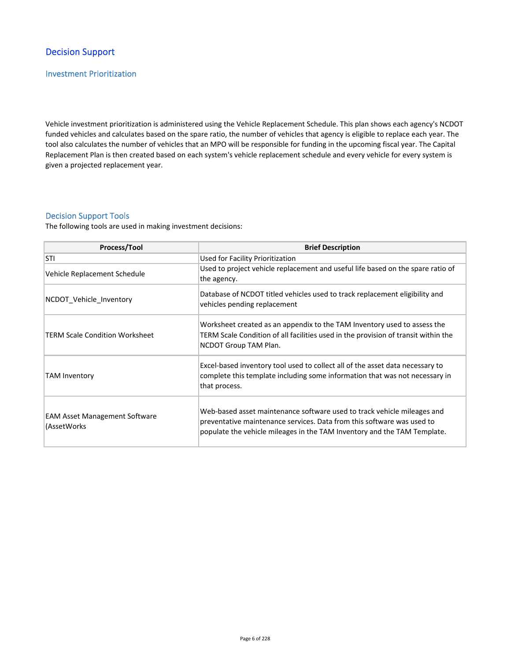# Decision Support

## Investment Prioritization

Vehicle investment prioritization is administered using the Vehicle Replacement Schedule. This plan shows each agency's NCDOT funded vehicles and calculates based on the spare ratio, the number of vehicles that agency is eligible to replace each year. The tool also calculates the number of vehicles that an MPO will be responsible for funding in the upcoming fiscal year. The Capital Replacement Plan is then created based on each system's vehicle replacement schedule and every vehicle for every system is given a projected replacement year.

### Decision Support Tools

The following tools are used in making investment decisions:

| Process/Tool                                        | <b>Brief Description</b>                                                                                                                                                                                                      |
|-----------------------------------------------------|-------------------------------------------------------------------------------------------------------------------------------------------------------------------------------------------------------------------------------|
| <b>STI</b>                                          | Used for Facility Prioritization                                                                                                                                                                                              |
| Vehicle Replacement Schedule                        | Used to project vehicle replacement and useful life based on the spare ratio of<br>the agency.                                                                                                                                |
| NCDOT Vehicle Inventory                             | Database of NCDOT titled vehicles used to track replacement eligibility and<br>vehicles pending replacement                                                                                                                   |
| <b>TERM Scale Condition Worksheet</b>               | Worksheet created as an appendix to the TAM Inventory used to assess the<br>TERM Scale Condition of all facilities used in the provision of transit within the<br>NCDOT Group TAM Plan.                                       |
| TAM Inventory                                       | Excel-based inventory tool used to collect all of the asset data necessary to<br>complete this template including some information that was not necessary in<br>that process.                                                 |
| <b>EAM Asset Management Software</b><br>(AssetWorks | Web-based asset maintenance software used to track vehicle mileages and<br>preventative maintenance services. Data from this software was used to<br>populate the vehicle mileages in the TAM Inventory and the TAM Template. |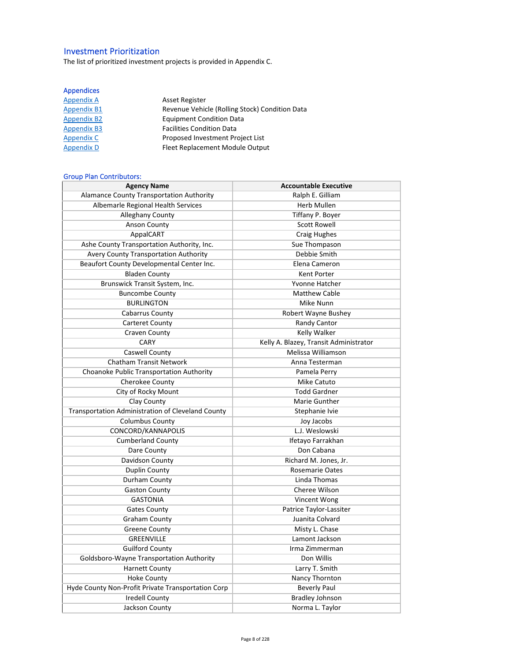# Investment Prioritization

The list of prioritized investment projects is provided in Appendix C.

## Appendices

| <b>Appendix A</b>  | <b>Asset Register</b>                          |
|--------------------|------------------------------------------------|
| <b>Appendix B1</b> | Revenue Vehicle (Rolling Stock) Condition Data |
| <b>Appendix B2</b> | <b>Equipment Condition Data</b>                |
| <b>Appendix B3</b> | <b>Facilities Condition Data</b>               |
| Appendix C         | Proposed Investment Project List               |
| <b>Appendix D</b>  | Fleet Replacement Module Output                |

## Group Plan Contributors:

| <b>Agency Name</b>                                 | <b>Accountable Executive</b>           |  |
|----------------------------------------------------|----------------------------------------|--|
| <b>Alamance County Transportation Authority</b>    | Ralph E. Gilliam                       |  |
| Albemarle Regional Health Services                 | <b>Herb Mullen</b>                     |  |
| <b>Alleghany County</b>                            | Tiffany P. Boyer                       |  |
| <b>Anson County</b>                                | <b>Scott Rowell</b>                    |  |
| AppalCART                                          | <b>Craig Hughes</b>                    |  |
| Ashe County Transportation Authority, Inc.         | Sue Thompason                          |  |
| Avery County Transportation Authority              | Debbie Smith                           |  |
| Beaufort County Developmental Center Inc.          | Elena Cameron                          |  |
| <b>Bladen County</b>                               | Kent Porter                            |  |
| Brunswick Transit System, Inc.                     | Yvonne Hatcher                         |  |
| <b>Buncombe County</b>                             | <b>Matthew Cable</b>                   |  |
| <b>BURLINGTON</b>                                  | Mike Nunn                              |  |
| Cabarrus County                                    | Robert Wayne Bushey                    |  |
| <b>Carteret County</b>                             | Randy Cantor                           |  |
| Craven County                                      | <b>Kelly Walker</b>                    |  |
| CARY                                               | Kelly A. Blazey, Transit Administrator |  |
| Caswell County                                     | Melissa Williamson                     |  |
| <b>Chatham Transit Network</b>                     | Anna Testerman                         |  |
| Choanoke Public Transportation Authority           | Pamela Perry                           |  |
| Cherokee County                                    | Mike Catuto                            |  |
| City of Rocky Mount                                | <b>Todd Gardner</b>                    |  |
| Clay County                                        | Marie Gunther                          |  |
| Transportation Administration of Cleveland County  | Stephanie Ivie                         |  |
| <b>Columbus County</b>                             | Joy Jacobs                             |  |
| CONCORD/KANNAPOLIS                                 | L.J. Weslowski                         |  |
| <b>Cumberland County</b>                           | Ifetayo Farrakhan                      |  |
| Dare County                                        | Don Cabana                             |  |
| Davidson County                                    | Richard M. Jones, Jr.                  |  |
| Duplin County                                      | <b>Rosemarie Oates</b>                 |  |
| Durham County                                      | Linda Thomas                           |  |
| <b>Gaston County</b>                               | Cheree Wilson                          |  |
| <b>GASTONIA</b>                                    | Vincent Wong                           |  |
| <b>Gates County</b>                                | Patrice Taylor-Lassiter                |  |
| <b>Graham County</b>                               | Juanita Colvard                        |  |
| <b>Greene County</b>                               | Misty L. Chase                         |  |
| <b>GREENVILLE</b>                                  | Lamont Jackson                         |  |
| <b>Guilford County</b>                             | Irma Zimmerman                         |  |
| Goldsboro-Wayne Transportation Authority           | Don Willis                             |  |
| <b>Harnett County</b>                              | Larry T. Smith                         |  |
| <b>Hoke County</b>                                 | Nancy Thornton                         |  |
| Hyde County Non-Profit Private Transportation Corp | <b>Beverly Paul</b>                    |  |
| <b>Iredell County</b>                              | <b>Bradley Johnson</b>                 |  |
| Jackson County                                     | Norma L. Taylor                        |  |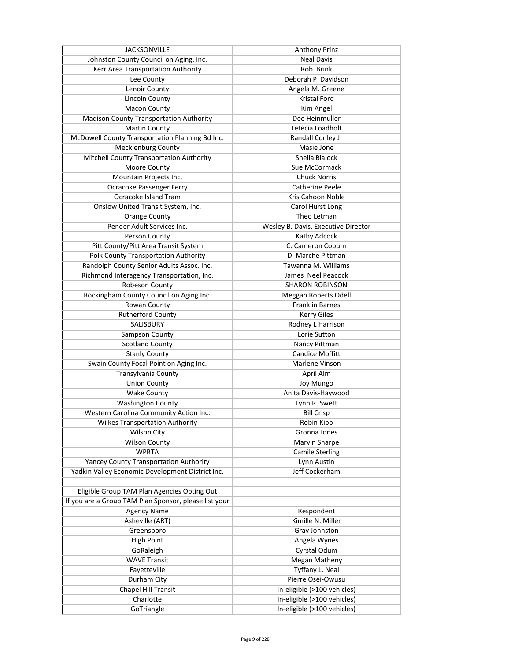| <b>JACKSONVILLE</b>                                   | Anthony Prinz                       |
|-------------------------------------------------------|-------------------------------------|
| Johnston County Council on Aging, Inc.                | <b>Neal Davis</b>                   |
| Kerr Area Transportation Authority                    | Rob Brink                           |
| Lee County                                            | Deborah P Davidson                  |
| Lenoir County                                         | Angela M. Greene                    |
| <b>Lincoln County</b>                                 | Kristal Ford                        |
| <b>Macon County</b>                                   | Kim Angel                           |
| <b>Madison County Transportation Authority</b>        | Dee Heinmuller                      |
| <b>Martin County</b>                                  | Letecia Loadholt                    |
| McDowell County Transportation Planning Bd Inc.       | Randall Conley Jr                   |
| <b>Mecklenburg County</b>                             | Masie Jone                          |
| Mitchell County Transportation Authority              | Sheila Blalock                      |
| Moore County                                          | Sue McCormack                       |
| Mountain Projects Inc.                                | <b>Chuck Norris</b>                 |
| Ocracoke Passenger Ferry                              | <b>Catherine Peele</b>              |
| Ocracoke Island Tram                                  | Kris Cahoon Noble                   |
| Onslow United Transit System, Inc.                    | Carol Hurst Long                    |
| <b>Orange County</b>                                  | Theo Letman                         |
| Pender Adult Services Inc.                            | Wesley B. Davis, Executive Director |
| Person County                                         | Kathy Adcock                        |
| Pitt County/Pitt Area Transit System                  | C. Cameron Coburn                   |
| Polk County Transportation Authority                  | D. Marche Pittman                   |
| Randolph County Senior Adults Assoc. Inc.             | Tawanna M. Williams                 |
| Richmond Interagency Transportation, Inc.             | James Neel Peacock                  |
| Robeson County                                        | <b>SHARON ROBINSON</b>              |
| Rockingham County Council on Aging Inc.               | Meggan Roberts Odell                |
| Rowan County                                          | <b>Franklin Barnes</b>              |
| <b>Rutherford County</b>                              | <b>Kerry Giles</b>                  |
| <b>SALISBURY</b>                                      | Rodney L Harrison                   |
| Sampson County                                        | Lorie Sutton                        |
| <b>Scotland County</b>                                | Nancy Pittman                       |
| <b>Stanly County</b>                                  | <b>Candice Moffitt</b>              |
| Swain County Focal Point on Aging Inc.                | Marlene Vinson                      |
| <b>Transylvania County</b>                            | April Alm                           |
| <b>Union County</b>                                   | Joy Mungo                           |
| <b>Wake County</b>                                    | Anita Davis-Haywood                 |
| <b>Washington County</b>                              | Lynn R. Swett                       |
|                                                       |                                     |
| Western Carolina Community Action Inc.                | <b>Bill Crisp</b>                   |
| <b>Wilkes Transportation Authority</b>                | Robin Kipp<br>Gronna Jones          |
| <b>Wilson City</b>                                    |                                     |
| <b>Wilson County</b>                                  | Marvin Sharpe                       |
| <b>WPRTA</b>                                          | <b>Camile Sterling</b>              |
| Yancey County Transportation Authority                | Lynn Austin                         |
| Yadkin Valley Economic Development District Inc.      | Jeff Cockerham                      |
|                                                       |                                     |
| Eligible Group TAM Plan Agencies Opting Out           |                                     |
| If you are a Group TAM Plan Sponsor, please list your |                                     |
| <b>Agency Name</b>                                    | Respondent                          |
| Asheville (ART)                                       | Kimille N. Miller                   |
| Greensboro                                            | Gray Johnston                       |
| <b>High Point</b>                                     | Angela Wynes                        |
| GoRaleigh                                             | Cyrstal Odum                        |
| <b>WAVE Transit</b>                                   | <b>Megan Matheny</b>                |
| Fayetteville                                          | Tyffany L. Neal                     |
| Durham City                                           | Pierre Osei-Owusu                   |
| Chapel Hill Transit                                   | In-eligible (>100 vehicles)         |
| Charlotte                                             | In-eligible (>100 vehicles)         |
| GoTriangle                                            | In-eligible (>100 vehicles)         |